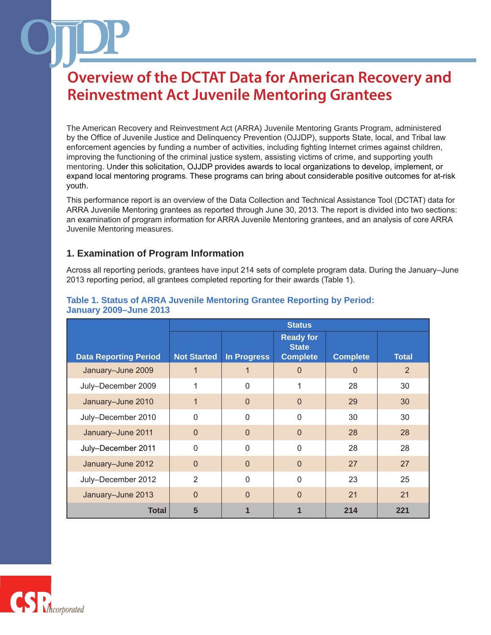The American Recovery and Reinvestment Act (ARRA) Juvenile Mentoring Grants Program, administered by the Office of Juvenile Justice and Delinquency Prevention (OJJDP), supports State, local, and Tribal law enforcement agencies by funding a number of activities, including fighting Internet crimes against children, improving the functioning of the criminal justice system, assisting victims of crime, and supporting youth mentoring. Under this solicitation, OJJDP provides awards to local organizations to develop, implement, or expand local mentoring programs. These programs can bring about considerable positive outcomes for at-risk youth.

This performance report is an overview of the Data Collection and Technical Assistance Tool (DCTAT) data for ARRA Juvenile Mentoring grantees as reported through June 30, 2013. The report is divided into two sections: an examination of program information for ARRA Juvenile Mentoring grantees, and an analysis of core ARRA Juvenile Mentoring measures.

## **1. Examination of Program Information**

Across all reporting periods, grantees have input 214 sets of complete program data. During the January–June 2013 reporting period, all grantees completed reporting for their awards (Table 1).

|                              | <b>Status</b>      |             |                                                     |                 |              |
|------------------------------|--------------------|-------------|-----------------------------------------------------|-----------------|--------------|
| <b>Data Reporting Period</b> | <b>Not Started</b> | In Progress | <b>Ready for</b><br><b>State</b><br><b>Complete</b> | <b>Complete</b> | <b>Total</b> |
| January-June 2009            |                    |             | $\Omega$                                            | $\Omega$        | 2            |
| July-December 2009           | 1                  | $\Omega$    |                                                     | 28              | 30           |
| January-June 2010            | $\mathbf 1$        | $\Omega$    | $\Omega$                                            | 29              | 30           |
| July-December 2010           | $\mathbf{0}$       | $\Omega$    | $\Omega$                                            | 30              | 30           |
| January-June 2011            | $\Omega$           | $\Omega$    | $\Omega$                                            | 28              | 28           |
| July-December 2011           | $\Omega$           | $\Omega$    | $\Omega$                                            | 28              | 28           |
| January-June 2012            | $\Omega$           | $\Omega$    | $\Omega$                                            | 27              | 27           |
| July-December 2012           | 2                  | $\Omega$    | $\Omega$                                            | 23              | 25           |
| January-June 2013            | $\Omega$           | $\Omega$    | $\Omega$                                            | 21              | 21           |
| <b>Total</b>                 | 5                  |             |                                                     | 214             | 221          |

### **Table 1. Status of ARRA Juvenile Mentoring Grantee Reporting by Period: January 2009–June 2013**

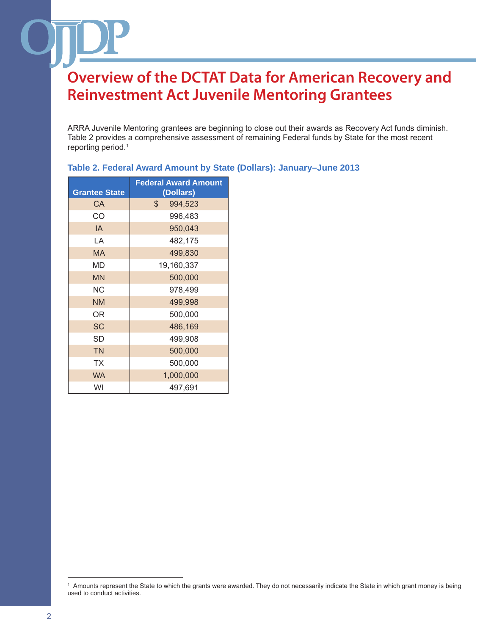ARRA Juvenile Mentoring grantees are beginning to close out their awards as Recovery Act funds diminish. Table 2 provides a comprehensive assessment of remaining Federal funds by State for the most recent reporting period.1

### **Table 2. Federal Award Amount by State (Dollars): January–June 2013**

| <b>Grantee State</b> | <b>Federal Award Amount</b><br>(Dollars) |
|----------------------|------------------------------------------|
| СA                   | \$<br>994,523                            |
| CO                   | 996,483                                  |
| IA                   | 950,043                                  |
| LA                   | 482,175                                  |
| <b>MA</b>            | 499,830                                  |
| MD                   | 19,160,337                               |
| <b>MN</b>            | 500,000                                  |
| ΝC                   | 978,499                                  |
| <b>NM</b>            | 499,998                                  |
| 0R                   | 500,000                                  |
| <b>SC</b>            | 486,169                                  |
| SD                   | 499,908                                  |
| <b>TN</b>            | 500,000                                  |
| <b>TX</b>            | 500,000                                  |
| <b>WA</b>            | 1,000,000                                |
| WI                   | 497,691                                  |

<sup>1</sup> Amounts represent the State to which the grants were awarded. They do not necessarily indicate the State in which grant money is being used to conduct activities.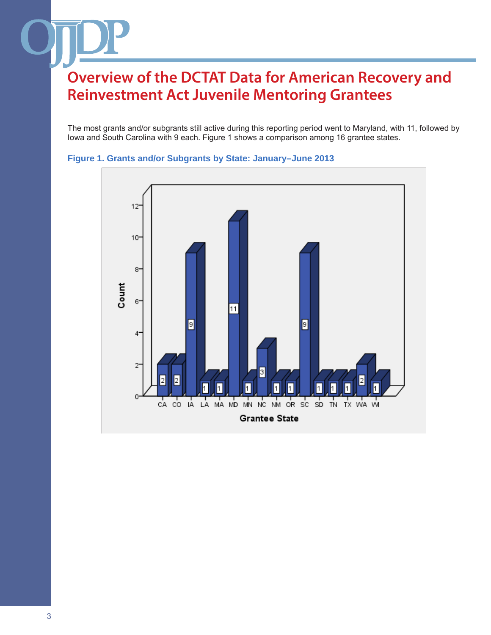The most grants and/or subgrants still active during this reporting period went to Maryland, with 11, followed by Iowa and South Carolina with 9 each. Figure 1 shows a comparison among 16 grantee states.



### **Figure 1. Grants and/or Subgrants by State: January–June 2013**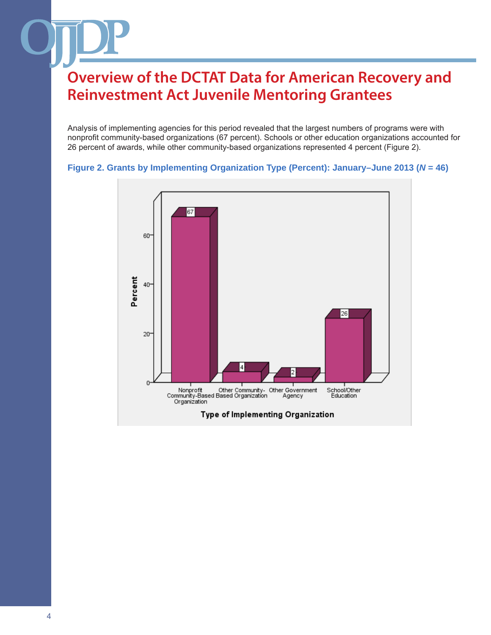Analysis of implementing agencies for this period revealed that the largest numbers of programs were with nonprofit community-based organizations (67 percent). Schools or other education organizations accounted for 26 percent of awards, while other community-based organizations represented 4 percent (Figure 2).



#### **Figure 2. Grants by Implementing Organization Type (Percent): January–June 2013 (***N* **= 46)**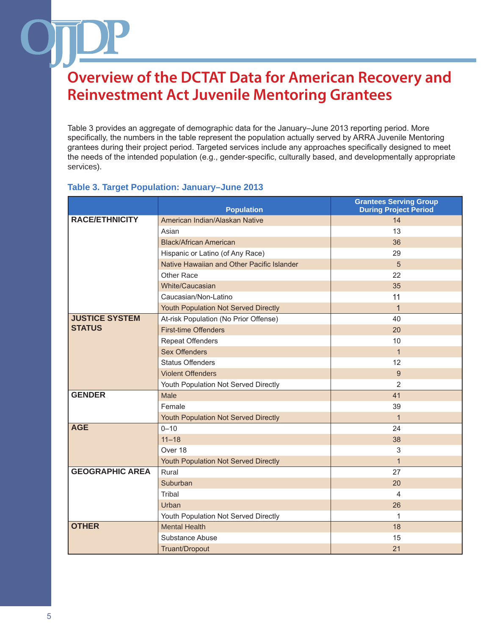Table 3 provides an aggregate of demographic data for the January–June 2013 reporting period. More specifically, the numbers in the table represent the population actually served by ARRA Juvenile Mentoring grantees during their project period. Targeted services include any approaches specifically designed to meet the needs of the intended population (e.g., gender-specific, culturally based, and developmentally appropriate services).

### **Table 3. Target Population: January–June 2013**

|                        | <b>Population</b>                          | <b>Grantees Serving Group</b><br><b>During Project Period</b> |
|------------------------|--------------------------------------------|---------------------------------------------------------------|
| <b>RACE/ETHNICITY</b>  | American Indian/Alaskan Native             | 14                                                            |
|                        | Asian                                      | 13                                                            |
|                        | <b>Black/African American</b>              | 36                                                            |
|                        | Hispanic or Latino (of Any Race)           | 29                                                            |
|                        | Native Hawaiian and Other Pacific Islander | 5                                                             |
|                        | Other Race                                 | 22                                                            |
|                        | White/Caucasian                            | 35                                                            |
|                        | Caucasian/Non-Latino                       | 11                                                            |
|                        | Youth Population Not Served Directly       | $\mathbf 1$                                                   |
| <b>JUSTICE SYSTEM</b>  | At-risk Population (No Prior Offense)      | 40                                                            |
| <b>STATUS</b>          | <b>First-time Offenders</b>                | 20                                                            |
|                        | <b>Repeat Offenders</b>                    | 10                                                            |
|                        | <b>Sex Offenders</b>                       | $\mathbf 1$                                                   |
|                        | <b>Status Offenders</b>                    | 12                                                            |
|                        | <b>Violent Offenders</b>                   | 9                                                             |
|                        | Youth Population Not Served Directly       | 2                                                             |
| <b>GENDER</b>          | Male                                       | 41                                                            |
|                        | Female                                     | 39                                                            |
|                        | Youth Population Not Served Directly       | $\mathbf{1}$                                                  |
| <b>AGE</b>             | $0 - 10$                                   | 24                                                            |
|                        | $11 - 18$                                  | 38                                                            |
|                        | Over 18                                    | 3                                                             |
|                        | Youth Population Not Served Directly       | $\mathbf{1}$                                                  |
| <b>GEOGRAPHIC AREA</b> | Rural                                      | 27                                                            |
|                        | Suburban                                   | 20                                                            |
|                        | Tribal                                     | 4                                                             |
|                        | Urban                                      | 26                                                            |
|                        | Youth Population Not Served Directly       | 1                                                             |
| <b>OTHER</b>           | <b>Mental Health</b>                       | 18                                                            |
|                        | Substance Abuse                            | 15                                                            |
|                        | Truant/Dropout                             | 21                                                            |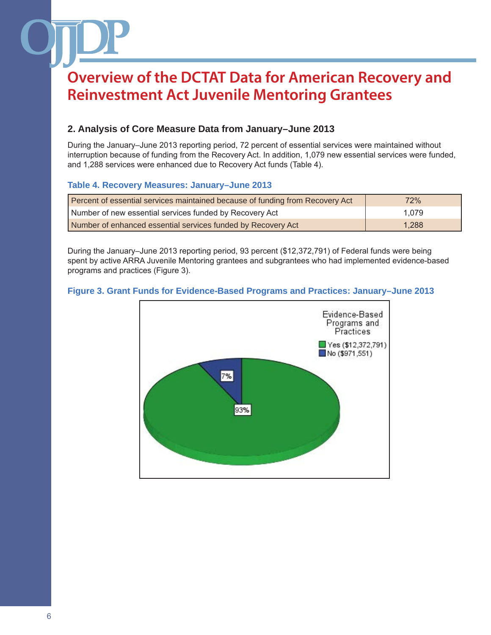## **2. Analysis of Core Measure Data from January–June 2013**

During the January–June 2013 reporting period, 72 percent of essential services were maintained without interruption because of funding from the Recovery Act. In addition, 1,079 new essential services were funded, and 1,288 services were enhanced due to Recovery Act funds (Table 4).

### **Table 4. Recovery Measures: January–June 2013**

| Percent of essential services maintained because of funding from Recovery Act | 72%   |
|-------------------------------------------------------------------------------|-------|
| Number of new essential services funded by Recovery Act                       | 1.079 |
| Number of enhanced essential services funded by Recovery Act                  | 1.288 |

During the January–June 2013 reporting period, 93 percent (\$12,372,791) of Federal funds were being spent by active ARRA Juvenile Mentoring grantees and subgrantees who had implemented evidence-based programs and practices (Figure 3).

### **Figure 3. Grant Funds for Evidence-Based Programs and Practices: January–June 2013**

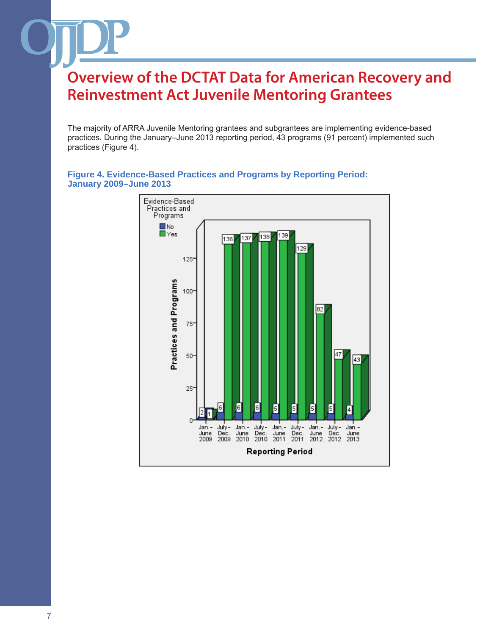The majority of ARRA Juvenile Mentoring grantees and subgrantees are implementing evidence-based practices. During the January–June 2013 reporting period, 43 programs (91 percent) implemented such practices (Figure 4).



#### **Figure 4. Evidence-Based Practices and Programs by Reporting Period: January 2009–June 2013**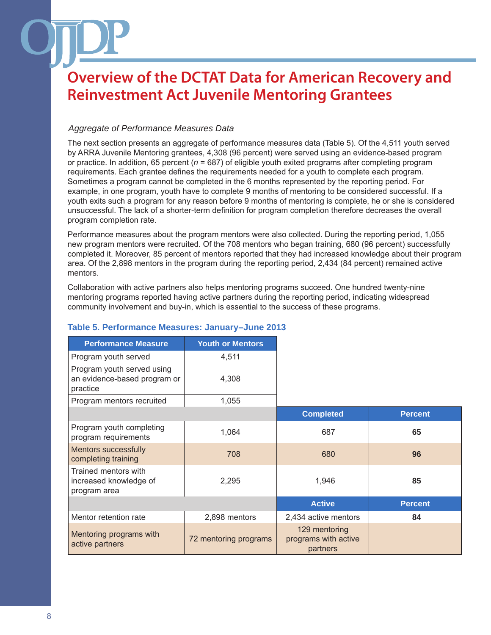### *Aggregate of Performance Measures Data*

The next section presents an aggregate of performance measures data (Table 5). Of the 4,511 youth served by ARRA Juvenile Mentoring grantees, 4,308 (96 percent) were served using an evidence-based program or practice. In addition, 65 percent (*n* = 687) of eligible youth exited programs after completing program requirements. Each grantee defines the requirements needed for a youth to complete each program. Sometimes a program cannot be completed in the 6 months represented by the reporting period. For example, in one program, youth have to complete 9 months of mentoring to be considered successful. If a youth exits such a program for any reason before 9 months of mentoring is complete, he or she is considered unsuccessful. The lack of a shorter-term definition for program completion therefore decreases the overall program completion rate.

Performance measures about the program mentors were also collected. During the reporting period, 1,055 new program mentors were recruited. Of the 708 mentors who began training, 680 (96 percent) successfully completed it. Moreover, 85 percent of mentors reported that they had increased knowledge about their program area. Of the 2,898 mentors in the program during the reporting period, 2,434 (84 percent) remained active mentors.

Collaboration with active partners also helps mentoring programs succeed. One hundred twenty-nine mentoring programs reported having active partners during the reporting period, indicating widespread community involvement and buy-in, which is essential to the success of these programs.

| <b>Performance Measure</b>                                             | <b>Youth or Mentors</b> |                                                   |                |
|------------------------------------------------------------------------|-------------------------|---------------------------------------------------|----------------|
| Program youth served                                                   | 4,511                   |                                                   |                |
| Program youth served using<br>an evidence-based program or<br>practice | 4,308                   |                                                   |                |
| Program mentors recruited                                              | 1,055                   |                                                   |                |
|                                                                        |                         | <b>Completed</b>                                  | <b>Percent</b> |
| Program youth completing<br>program requirements                       | 1,064                   | 687                                               | 65             |
| <b>Mentors successfully</b><br>completing training                     | 708                     | 680                                               | 96             |
| Trained mentors with<br>increased knowledge of<br>program area         | 2,295                   | 1,946                                             | 85             |
|                                                                        |                         | <b>Active</b>                                     | <b>Percent</b> |
| Mentor retention rate                                                  | 2,898 mentors           | 2,434 active mentors                              | 84             |
| Mentoring programs with<br>active partners                             | 72 mentoring programs   | 129 mentoring<br>programs with active<br>partners |                |

## **Table 5. Performance Measures: January–June 2013**